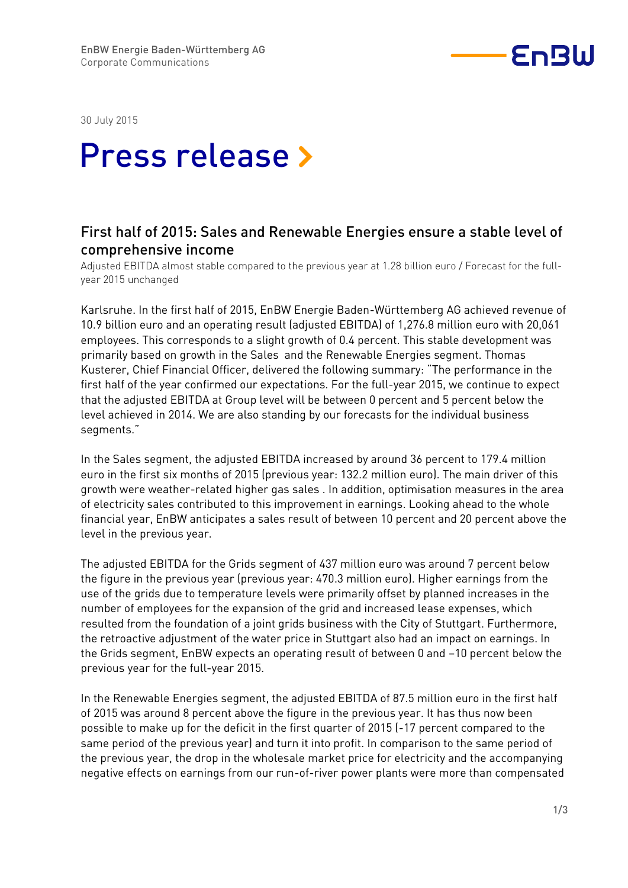

30 July 2015

## Press release »

## First half of 2015: Sales and Renewable Energies ensure a stable level of comprehensive income

Adjusted EBITDA almost stable compared to the previous year at 1.28 billion euro / Forecast for the fullyear 2015 unchanged

Karlsruhe. In the first half of 2015, EnBW Energie Baden-Württemberg AG achieved revenue of 10.9 billion euro and an operating result (adjusted EBITDA) of 1,276.8 million euro with 20,061 employees. This corresponds to a slight growth of 0.4 percent. This stable development was primarily based on growth in the Sales and the Renewable Energies segment. Thomas Kusterer, Chief Financial Officer, delivered the following summary: "The performance in the first half of the year confirmed our expectations. For the full-year 2015, we continue to expect that the adjusted EBITDA at Group level will be between 0 percent and 5 percent below the level achieved in 2014. We are also standing by our forecasts for the individual business segments."

In the Sales segment, the adjusted EBITDA increased by around 36 percent to 179.4 million euro in the first six months of 2015 (previous year: 132.2 million euro). The main driver of this growth were weather-related higher gas sales . In addition, optimisation measures in the area of electricity sales contributed to this improvement in earnings. Looking ahead to the whole financial year, EnBW anticipates a sales result of between 10 percent and 20 percent above the level in the previous year.

The adjusted EBITDA for the Grids segment of 437 million euro was around 7 percent below the figure in the previous year (previous year: 470.3 million euro). Higher earnings from the use of the grids due to temperature levels were primarily offset by planned increases in the number of employees for the expansion of the grid and increased lease expenses, which resulted from the foundation of a joint grids business with the City of Stuttgart. Furthermore, the retroactive adjustment of the water price in Stuttgart also had an impact on earnings. In the Grids segment, EnBW expects an operating result of between 0 and –10 percent below the previous year for the full-year 2015.

In the Renewable Energies segment, the adjusted EBITDA of 87.5 million euro in the first half of 2015 was around 8 percent above the figure in the previous year. It has thus now been possible to make up for the deficit in the first quarter of 2015 (-17 percent compared to the same period of the previous year) and turn it into profit. In comparison to the same period of the previous year, the drop in the wholesale market price for electricity and the accompanying negative effects on earnings from our run-of-river power plants were more than compensated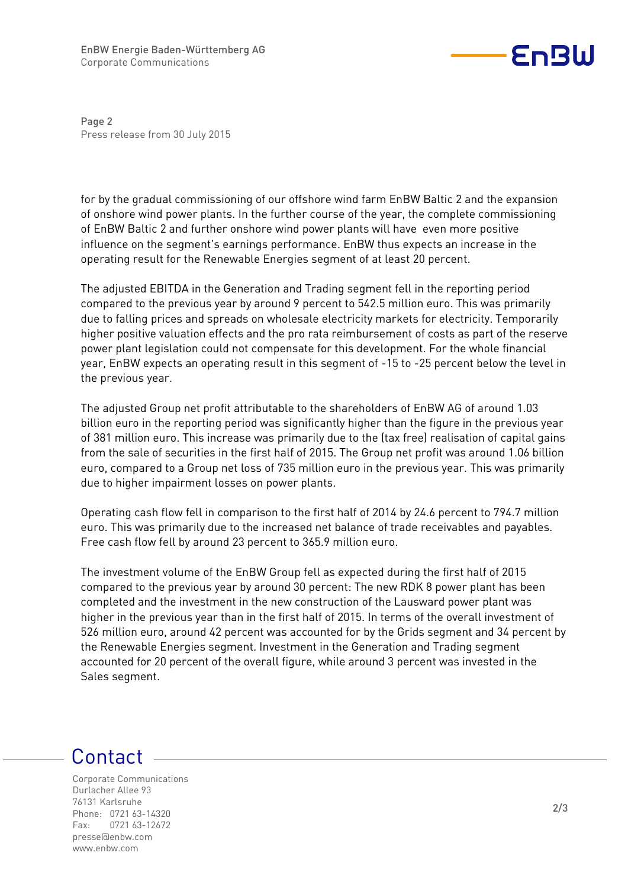

Page 2 Press release from 30 July 2015

for by the gradual commissioning of our offshore wind farm EnBW Baltic 2 and the expansion of onshore wind power plants. In the further course of the year, the complete commissioning of EnBW Baltic 2 and further onshore wind power plants will have even more positive influence on the segment's earnings performance. EnBW thus expects an increase in the operating result for the Renewable Energies segment of at least 20 percent.

The adjusted EBITDA in the Generation and Trading segment fell in the reporting period compared to the previous year by around 9 percent to 542.5 million euro. This was primarily due to falling prices and spreads on wholesale electricity markets for electricity. Temporarily higher positive valuation effects and the pro rata reimbursement of costs as part of the reserve power plant legislation could not compensate for this development. For the whole financial year, EnBW expects an operating result in this segment of -15 to -25 percent below the level in the previous year.

The adjusted Group net profit attributable to the shareholders of EnBW AG of around 1.03 billion euro in the reporting period was significantly higher than the figure in the previous year of 381 million euro. This increase was primarily due to the (tax free) realisation of capital gains from the sale of securities in the first half of 2015. The Group net profit was around 1.06 billion euro, compared to a Group net loss of 735 million euro in the previous year. This was primarily due to higher impairment losses on power plants.

Operating cash flow fell in comparison to the first half of 2014 by 24.6 percent to 794.7 million euro. This was primarily due to the increased net balance of trade receivables and payables. Free cash flow fell by around 23 percent to 365.9 million euro.

The investment volume of the EnBW Group fell as expected during the first half of 2015 compared to the previous year by around 30 percent: The new RDK 8 power plant has been completed and the investment in the new construction of the Lausward power plant was higher in the previous year than in the first half of 2015. In terms of the overall investment of 526 million euro, around 42 percent was accounted for by the Grids segment and 34 percent by the Renewable Energies segment. Investment in the Generation and Trading segment accounted for 20 percent of the overall figure, while around 3 percent was invested in the Sales segment.

## Contact

Corporate Communications Durlacher Allee 93 76131 Karlsruhe Phone: 0721 63-14320 Fax: 0721 63-12672 presse@enbw.com www.enbw.com